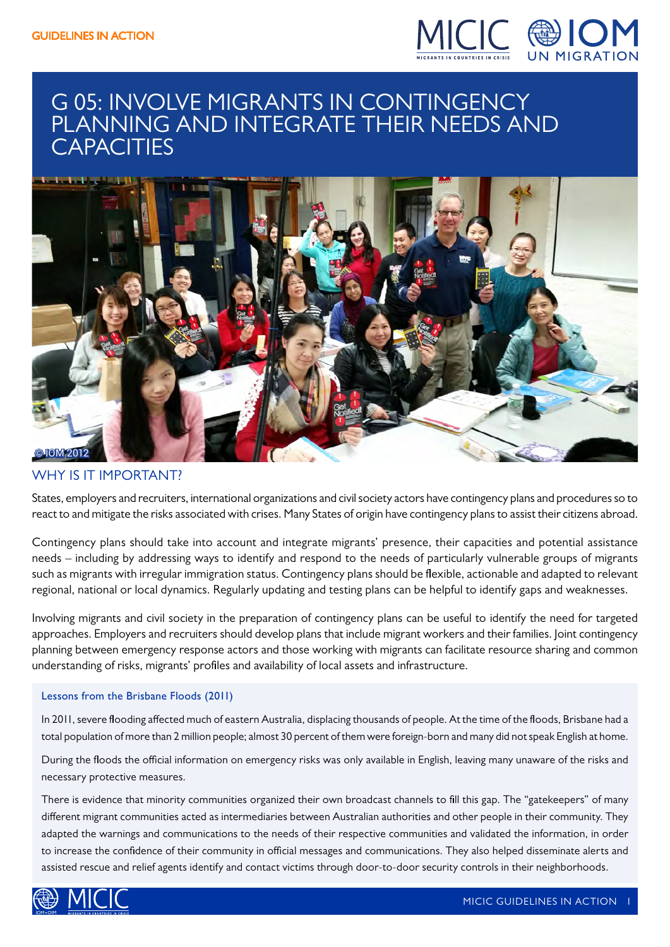

### G 05: INVOLVE MIGRANTS IN CONTINGENCY PLANNING AND INTEGRATE THEIR NEEDS AND **CAPACITIES**



### WHY IS IT IMPORTANT?

States, employers and recruiters, international organizations and civil society actors have contingency plans and procedures so to react to and mitigate the risks associated with crises. Many States of origin have contingency plans to assist their citizens abroad.

Contingency plans should take into account and integrate migrants' presence, their capacities and potential assistance needs – including by addressing ways to identify and respond to the needs of particularly vulnerable groups of migrants such as migrants with irregular immigration status. Contingency plans should be flexible, actionable and adapted to relevant regional, national or local dynamics. Regularly updating and testing plans can be helpful to identify gaps and weaknesses.

Involving migrants and civil society in the preparation of contingency plans can be useful to identify the need for targeted approaches. Employers and recruiters should develop plans that include migrant workers and their families. Joint contingency planning between emergency response actors and those working with migrants can facilitate resource sharing and common understanding of risks, migrants' profiles and availability of local assets and infrastructure.

### Lessons from the Brisbane Floods (2011)

In 2011, severe flooding affected much of eastern Australia, displacing thousands of people. At the time of the floods, Brisbane had a total population of more than 2 million people; almost 30 percent of them were foreign-born and many did not speak English at home.

During the floods the official information on emergency risks was only available in English, leaving many unaware of the risks and necessary protective measures.

There is evidence that minority communities organized their own broadcast channels to fill this gap. The "gatekeepers" of many different migrant communities acted as intermediaries between Australian authorities and other people in their community. They adapted the warnings and communications to the needs of their respective communities and validated the information, in order to increase the confidence of their community in official messages and communications. They also helped disseminate alerts and assisted rescue and relief agents identify and contact victims through door-to-door security controls in their neighborhoods.

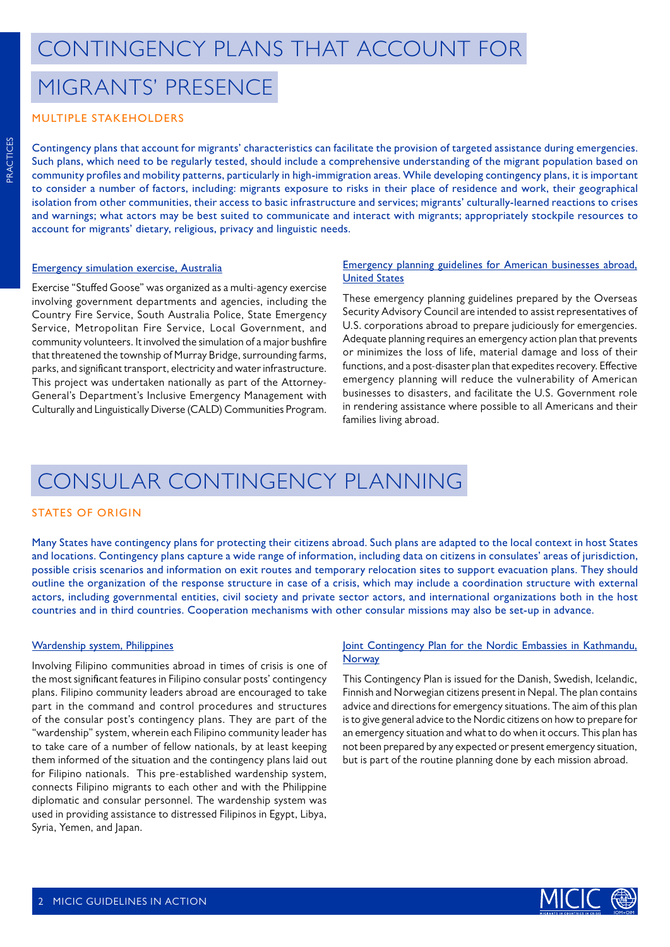### MIGRANTS' PRESENCE

### MULTIPLE STAKEHOLDERS

Contingency plans that account for migrants' characteristics can facilitate the provision of targeted assistance during emergencies. Such plans, which need to be regularly tested, should include a comprehensive understanding of the migrant population based on community profiles and mobility patterns, particularly in high-immigration areas. While developing contingency plans, it is important to consider a number of factors, including: migrants exposure to risks in their place of residence and work, their geographical isolation from other communities, their access to basic infrastructure and services; migrants' culturally-learned reactions to crises and warnings; what actors may be best suited to communicate and interact with migrants; appropriately stockpile resources to account for migrants' dietary, religious, privacy and linguistic needs.

#### [Emergency simulation exercise, Australia](https://micicinitiative.iom.int/micicinitiative/exercise-stuffed-goose-involving-culturally-and-linguistically-diverse-cald)

Exercise "Stuffed Goose" was organized as a multi-agency exercise involving government departments and agencies, including the Country Fire Service, South Australia Police, State Emergency Service, Metropolitan Fire Service, Local Government, and community volunteers. It involved the simulation of a major bushfire that threatened the township of Murray Bridge, surrounding farms, parks, and significant transport, electricity and water infrastructure. This project was undertaken nationally as part of the Attorney-General's Department's Inclusive Emergency Management with Culturally and Linguistically Diverse (CALD) Communities Program.

#### [Emergency planning guidelines for American businesses abroad,](https://micicinitiative.iom.int/micicinitiative/emergency-planning-guidelines-american-businesses-abroad) [United States](https://micicinitiative.iom.int/micicinitiative/emergency-planning-guidelines-american-businesses-abroad)

These emergency planning guidelines prepared by the Overseas Security Advisory Council are intended to assist representatives of U.S. corporations abroad to prepare judiciously for emergencies. Adequate planning requires an emergency action plan that prevents or minimizes the loss of life, material damage and loss of their functions, and a post-disaster plan that expedites recovery. Effective emergency planning will reduce the vulnerability of American businesses to disasters, and facilitate the U.S. Government role in rendering assistance where possible to all Americans and their families living abroad.

### CONSULAR CONTINGENCY PLANNING

#### STATES OF ORIGIN

Many States have contingency plans for protecting their citizens abroad. Such plans are adapted to the local context in host States and locations. Contingency plans capture a wide range of information, including data on citizens in consulates' areas of jurisdiction, possible crisis scenarios and information on exit routes and temporary relocation sites to support evacuation plans. They should outline the organization of the response structure in case of a crisis, which may include a coordination structure with external actors, including governmental entities, civil society and private sector actors, and international organizations both in the host countries and in third countries. Cooperation mechanisms with other consular missions may also be set-up in advance.

#### [Wardenship system, Philippines](https://micicinitiative.iom.int/micicinitiative/wardenship-system)

Involving Filipino communities abroad in times of crisis is one of the most significant features in Filipino consular posts' contingency plans. Filipino community leaders abroad are encouraged to take part in the command and control procedures and structures of the consular post's contingency plans. They are part of the "wardenship" system, wherein each Filipino community leader has to take care of a number of fellow nationals, by at least keeping them informed of the situation and the contingency plans laid out for Filipino nationals. This pre-established wardenship system, connects Filipino migrants to each other and with the Philippine diplomatic and consular personnel. The wardenship system was used in providing assistance to distressed Filipinos in Egypt, Libya, Syria, Yemen, and Japan.

### [Joint Contingency Plan for the Nordic Embassies in Kathmandu,](https://micicinitiative.iom.int/micicinitiative/joint-contingency-plan-nordic-embassies-kathmandu-nepal-2010) **[Norway](https://micicinitiative.iom.int/micicinitiative/joint-contingency-plan-nordic-embassies-kathmandu-nepal-2010)**

This Contingency Plan is issued for the Danish, Swedish, Icelandic, Finnish and Norwegian citizens present in Nepal. The plan contains advice and directions for emergency situations. The aim of this plan is to give general advice to the Nordic citizens on how to prepare for an emergency situation and what to do when it occurs. This plan has not been prepared by any expected or present emergency situation, but is part of the routine planning done by each mission abroad.

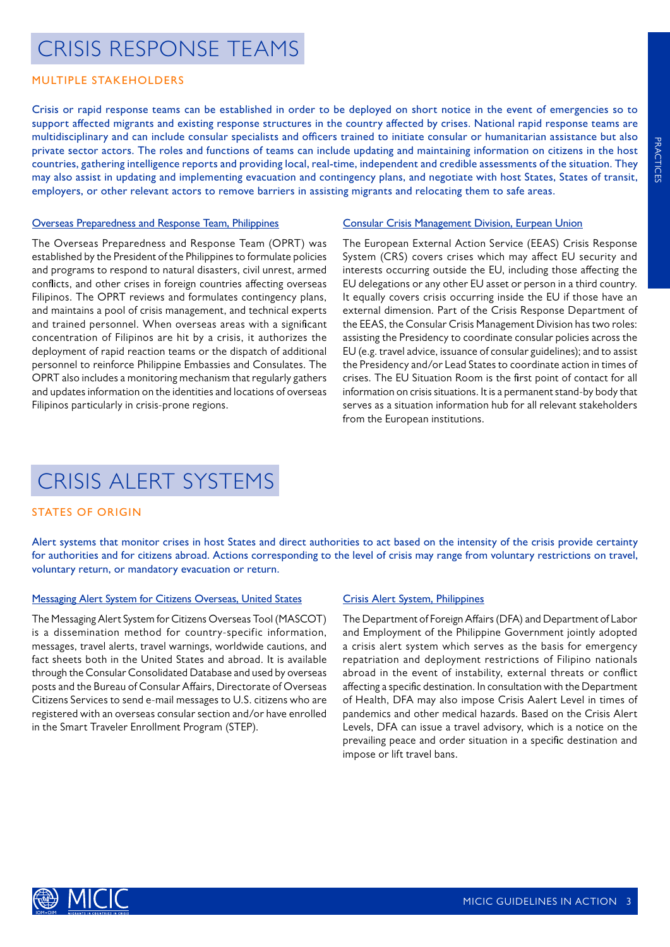### **PRACTICES** PRACTICES

## CRISIS RESPONSE TEAMS

### MULTIPLE STAKEHOLDERS

Crisis or rapid response teams can be established in order to be deployed on short notice in the event of emergencies so to support affected migrants and existing response structures in the country affected by crises. National rapid response teams are multidisciplinary and can include consular specialists and officers trained to initiate consular or humanitarian assistance but also private sector actors. The roles and functions of teams can include updating and maintaining information on citizens in the host countries, gathering intelligence reports and providing local, real-time, independent and credible assessments of the situation. They may also assist in updating and implementing evacuation and contingency plans, and negotiate with host States, States of transit, employers, or other relevant actors to remove barriers in assisting migrants and relocating them to safe areas.

### [Overseas Preparedness and Response Team, Philippines](https://micicinitiative.iom.int/micicinitiative/overseas-preparedness-and-response-team-oprt)

The Overseas Preparedness and Response Team (OPRT) was established by the President of the Philippines to formulate policies and programs to respond to natural disasters, civil unrest, armed conflicts, and other crises in foreign countries affecting overseas Filipinos. The OPRT reviews and formulates contingency plans, and maintains a pool of crisis management, and technical experts and trained personnel. When overseas areas with a significant concentration of Filipinos are hit by a crisis, it authorizes the deployment of rapid reaction teams or the dispatch of additional personnel to reinforce Philippine Embassies and Consulates. The OPRT also includes a monitoring mechanism that regularly gathers and updates information on the identities and locations of overseas Filipinos particularly in crisis-prone regions.

#### [Consular Crisis Management Division, Eurpean Union](https://micicinitiative.iom.int/micicinitiative/eeas-consular-crisis-management)

The European External Action Service (EEAS) Crisis Response System (CRS) covers crises which may affect EU security and interests occurring outside the EU, including those affecting the EU delegations or any other EU asset or person in a third country. It equally covers crisis occurring inside the EU if those have an external dimension. Part of the Crisis Response Department of the EEAS, the Consular Crisis Management Division has two roles: assisting the Presidency to coordinate consular policies across the EU (e.g. travel advice, issuance of consular guidelines); and to assist the Presidency and/or Lead States to coordinate action in times of crises. The EU Situation Room is the first point of contact for all information on crisis situations. It is a permanent stand-by body that serves as a situation information hub for all relevant stakeholders from the European institutions.

## CRISIS ALERT SYSTEMS

### STATES OF ORIGIN

Alert systems that monitor crises in host States and direct authorities to act based on the intensity of the crisis provide certainty for authorities and for citizens abroad. Actions corresponding to the level of crisis may range from voluntary restrictions on travel, voluntary return, or mandatory evacuation or return.

### [Messaging Alert System for Citizens Overseas, United States](https://micicinitiative.iom.int/micicinitiative/mascot-messaging-alert-system-citizens-overseas-tool)

The Messaging Alert System for Citizens Overseas Tool (MASCOT) is a dissemination method for country-specific information, messages, travel alerts, travel warnings, worldwide cautions, and fact sheets both in the United States and abroad. It is available through the Consular Consolidated Database and used by overseas posts and the Bureau of Consular Affairs, Directorate of Overseas Citizens Services to send e-mail messages to U.S. citizens who are registered with an overseas consular section and/or have enrolled in the Smart Traveler Enrollment Program (STEP).

### [Crisis Alert System, Philippines](https://micicinitiative.iom.int/micicinitiative/crisis-alert-system)

The Department of Foreign Affairs (DFA) and Department of Labor and Employment of the Philippine Government jointly adopted a crisis alert system which serves as the basis for emergency repatriation and deployment restrictions of Filipino nationals abroad in the event of instability, external threats or conflict affecting a specific destination. In consultation with the Department of Health, DFA may also impose Crisis Aalert Level in times of pandemics and other medical hazards. Based on the Crisis Alert Levels, DFA can issue a travel advisory, which is a notice on the prevailing peace and order situation in a specific destination and impose or lift travel bans.